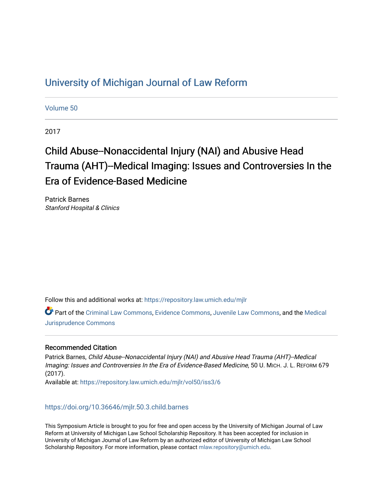## [University of Michigan Journal of Law Reform](https://repository.law.umich.edu/mjlr)

[Volume 50](https://repository.law.umich.edu/mjlr/vol50)

2017

# Child Abuse--Nonaccidental Injury (NAI) and Abusive Head Trauma (AHT)--Medical Imaging: Issues and Controversies In the Era of Evidence-Based Medicine

Patrick Barnes Stanford Hospital & Clinics

Follow this and additional works at: [https://repository.law.umich.edu/mjlr](https://repository.law.umich.edu/mjlr?utm_source=repository.law.umich.edu%2Fmjlr%2Fvol50%2Fiss3%2F6&utm_medium=PDF&utm_campaign=PDFCoverPages) 

Part of the [Criminal Law Commons,](http://network.bepress.com/hgg/discipline/912?utm_source=repository.law.umich.edu%2Fmjlr%2Fvol50%2Fiss3%2F6&utm_medium=PDF&utm_campaign=PDFCoverPages) [Evidence Commons](http://network.bepress.com/hgg/discipline/601?utm_source=repository.law.umich.edu%2Fmjlr%2Fvol50%2Fiss3%2F6&utm_medium=PDF&utm_campaign=PDFCoverPages), [Juvenile Law Commons](http://network.bepress.com/hgg/discipline/851?utm_source=repository.law.umich.edu%2Fmjlr%2Fvol50%2Fiss3%2F6&utm_medium=PDF&utm_campaign=PDFCoverPages), and the [Medical](http://network.bepress.com/hgg/discipline/860?utm_source=repository.law.umich.edu%2Fmjlr%2Fvol50%2Fiss3%2F6&utm_medium=PDF&utm_campaign=PDFCoverPages) [Jurisprudence Commons](http://network.bepress.com/hgg/discipline/860?utm_source=repository.law.umich.edu%2Fmjlr%2Fvol50%2Fiss3%2F6&utm_medium=PDF&utm_campaign=PDFCoverPages) 

### Recommended Citation

Patrick Barnes, Child Abuse--Nonaccidental Injury (NAI) and Abusive Head Trauma (AHT)--Medical Imaging: Issues and Controversies In the Era of Evidence-Based Medicine, 50 U. MICH. J. L. REFORM 679 (2017). Available at: [https://repository.law.umich.edu/mjlr/vol50/iss3/6](https://repository.law.umich.edu/mjlr/vol50/iss3/6?utm_source=repository.law.umich.edu%2Fmjlr%2Fvol50%2Fiss3%2F6&utm_medium=PDF&utm_campaign=PDFCoverPages) 

<https://doi.org/10.36646/mjlr.50.3.child.barnes>

This Symposium Article is brought to you for free and open access by the University of Michigan Journal of Law Reform at University of Michigan Law School Scholarship Repository. It has been accepted for inclusion in University of Michigan Journal of Law Reform by an authorized editor of University of Michigan Law School Scholarship Repository. For more information, please contact [mlaw.repository@umich.edu.](mailto:mlaw.repository@umich.edu)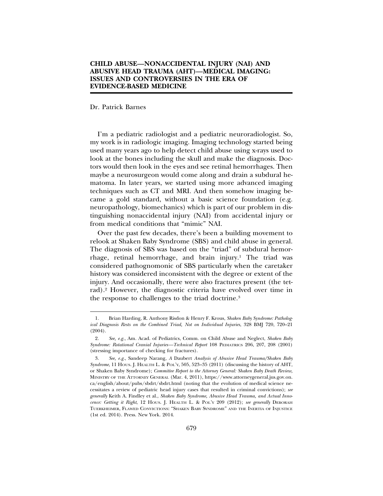#### **CHILD ABUSE—NONACCIDENTAL INJURY (NAI) AND ABUSIVE HEAD TRAUMA (AHT)—MEDICAL IMAGING: ISSUES AND CONTROVERSIES IN THE ERA OF EVIDENCE-BASED MEDICINE**

#### Dr. Patrick Barnes

I'm a pediatric radiologist and a pediatric neuroradiologist. So, my work is in radiologic imaging. Imaging technology started being used many years ago to help detect child abuse using x-rays used to look at the bones including the skull and make the diagnosis. Doctors would then look in the eyes and see retinal hemorrhages. Then maybe a neurosurgeon would come along and drain a subdural hematoma. In later years, we started using more advanced imaging techniques such as CT and MRI. And then somehow imaging became a gold standard, without a basic science foundation (e.g. neuropathology, biomechanics) which is part of our problem in distinguishing nonaccidental injury (NAI) from accidental injury or from medical conditions that "mimic" NAI.

Over the past few decades, there's been a building movement to relook at Shaken Baby Syndrome (SBS) and child abuse in general. The diagnosis of SBS was based on the "triad" of subdural hemorrhage, retinal hemorrhage, and brain injury.<sup>1</sup> The triad was considered pathognomonic of SBS particularly when the caretaker history was considered inconsistent with the degree or extent of the injury. And occasionally, there were also fractures present (the tetrad).2 However, the diagnostic criteria have evolved over time in the response to challenges to the triad doctrine.3

<sup>1.</sup> Brian Harding, R. Anthony Risdon & Henry F. Krous, *Shaken Baby Syndrome: Pathological Diagnosis Rests on the Combined Triad, Not on Individual Injuries*, 328 BMJ 720, 720–21 (2004).

<sup>2.</sup> *See, e.g.*, Am. Acad. of Pediatrics, Comm. on Child Abuse and Neglect, *Shaken Baby Syndrome: Rotational Cranial Injuries—Technical Report* 108 PEDIATRICS 206, 207, 208 (2001) (stressing importance of checking for fractures).

<sup>3.</sup> *See, e.g.*, Sandeep Narang, *A* Daubert *Analysis of Abusive Head Trauma/Shaken Baby Syndrome*, 11 HOUS. J. HEALTH L. & POL'Y, 505, 523–35 (2011) (discussing the history of AHT, or Shaken Baby Syndrome); *Committee Report to the Attorney General: Shaken Baby Death Review,* MINISTRY OF THE ATTORNEY GENERAL (Mar. 4, 2011), https://www.attorneygeneral.jus.gov.on. ca/english/about/pubs/sbdrt/sbdrt.html (noting that the evolution of medical science necessitates a review of pediatric head injury cases that resulted in criminal convictions); *see generally* Keith A. Findley et al., *Shaken Baby Syndrome, Abusive Head Trauma, and Actual Innocence: Getting it Right*, 12 HOUS. J. HEALTH L. & POL'Y 209 (2012); *see generally* DEBORAH TUERKHEIMER, FLAWED CONVICTIONS: "SHAKEN BABY SYNDROME" AND THE INERTIA OF INJUSTICE (1st ed. 2014). Press. New York. 2014.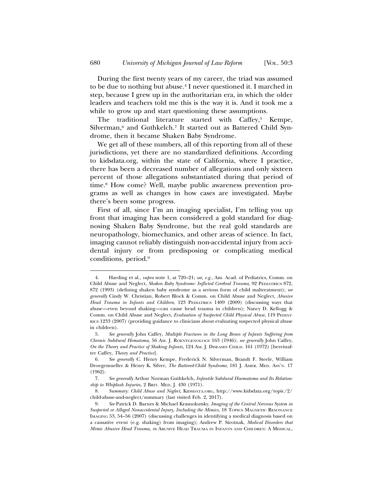During the first twenty years of my career, the triad was assumed to be due to nothing but abuse.4 I never questioned it. I marched in step, because I grew up in the authoritarian era, in which the older leaders and teachers told me this is the way it is. And it took me a while to grow up and start questioning these assumptions.

The traditional literature started with Caffey,<sup>5</sup> Kempe, Silverman,<sup>6</sup> and Guthkelch.<sup>7</sup> It started out as Battered Child Syndrome, then it became Shaken Baby Syndrome.

We get all of these numbers, all of this reporting from all of these jurisdictions, yet there are no standardized definitions. According to kidsdata.org, within the state of California, where I practice, there has been a decreased number of allegations and only sixteen percent of those allegations substantiated during that period of time.8 How come? Well, maybe public awareness prevention programs as well as changes in how cases are investigated. Maybe there's been some progress.

First of all, since I'm an imaging specialist, I'm telling you up front that imaging has been considered a gold standard for diagnosing Shaken Baby Syndrome, but the real gold standards are neuropathology, biomechanics, and other areas of science. In fact, imaging cannot reliably distinguish non-accidental injury from accidental injury or from predisposing or complicating medical conditions, period.9

<sup>4.</sup> Harding et al., *supra* note 1, at 720–21; *see, e.g.*, Am. Acad. of Pediatrics, Comm. on Child Abuse and Neglect, *Shaken Baby Syndrome: Inflicted Cerebral Trauma*, 92 PEDIATRICS 872, 872 (1993) (defining shaken baby syndrome as a serious form of child maltreatment); *see generally* Cindy W. Christian, Robert Block & Comm. on Child Abuse and Neglect, *Abusive Head Trauma in Infants and Children*, 123 PEDIATRICS 1409 (2009) (discussing ways that abuse—even beyond shaking—can cause head trauma in children); Nancy D. Kellogg & Comm. on Child Abuse and Neglect, *Evaluation of Suspected Child Physical Abuse*, 119 PEDIAT-RICS 1233 (2007) (providing guidance to clinicians about evaluating suspected physical abuse in children).

<sup>5.</sup> *See generally* John Caffey, *Multiple Fractures in the Long Bones of Infants Suffering from Chronic Subdural Hematoma*, 56 AM. J. ROENTGENOLOGY 163 (1946); *see generally* John Caffey, *On the Theory and Practice of Shaking Infants*, 124 AM. J. DISEASES CHILD. 161 (1972) [hereinafter Caffey, *Theory and Practice*].

<sup>6.</sup> *See generally* C. Henry Kempe, Frederick N. Silverman, Brandt F. Steele, William Droegemueller & Henry K. Silver, *The Battered-Child Syndrome*, 181 J. AMER. MED. ASS'N. 17 (1962).

<sup>7.</sup> *See generally* Arthur Norman Guthkelch, *Infantile Subdural Haematoma and Its Relationship to Whiplash Injuries*, 2 BRIT. MED. J. 430 (1971).

<sup>8.</sup> *Summary: Child Abuse and Neglect*, KIDSDATA.ORG, http://www.kidsdata.org/topic/2/ child-abuse-and-neglect/summary (last visited Feb. 2, 2017).

<sup>9.</sup> *See* Patrick D. Barnes & Michael Krasnokutsky, *Imaging of the Central Nervous System in Suspected or Alleged Nonaccidental Injury, Including the Mimics*, 18 TOPICS MAGNETIC RESONANCE IMAGING 53, 54–56 (2007) (discussing challenges in identifying a medical diagnosis based on a causative event (e.g. shaking) from imaging); Andrew P. Sirotnak, *Medical Disorders that Mimic Abusive Head Trauma*, *in* ABUSIVE HEAD TRAUMA IN INFANTS AND CHILDREN: A MEDICAL,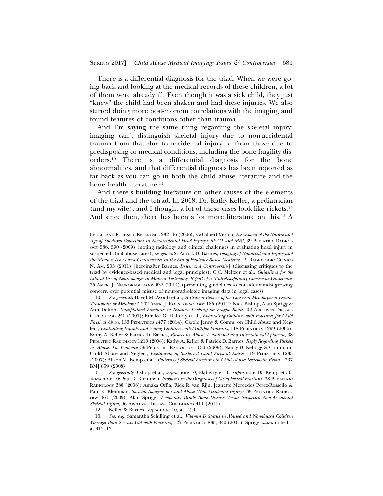There is a differential diagnosis for the triad. When we were going back and looking at the medical records of these children, a lot of them were already ill. Even though it was a sick child, they just "knew" the child had been shaken and had these injuries. We also started doing more post-mortem correlations with the imaging and found features of conditions other than trauma.

And I'm saying the same thing regarding the skeletal injury: imaging can't distinguish skeletal injury due to non-accidental trauma from that due to accidental injury or from those due to predisposing or medical conditions, including the bone fragility disorders.10 There is a differential diagnosis for the bone abnormalities, and that differential diagnosis has been reported as far back as you can go in both the child abuse literature and the bone health literature.<sup>11</sup>

And there's building literature on other causes of the elements of the triad and the tetrad. In 2008, Dr. Kathy Keller, a pediatrician (and my wife), and I thought a lot of these cases look like rickets.12 And since then, there has been a lot more literature on this.13 A

LEGAL, AND FORENSIC REFERENCE 232–46 (2006); *see* Gilbert Vezina, *Assessment of the Nature and Age of Subdural Collections in Nonaccidental Head Injury with CT and MRI*, 39 PEDIATRIC RADIOL-OGY 586, 590 (2009) (noting radiology and clinical challenges in evaluating head injury in suspected child abuse cases); *see generally* Patrick D. Barnes, *Imaging of Nonaccidental Injury and the Mimics: Issues and Controversies in the Era of Evidence-Based Medicine*, 49 RADIOLOGIC CLINICS N. AM. 205 (2011) [hereinafter Barnes, *Issues and Controversies*] (discussing critiques to the triad by evidence-based medical and legal principles); C.C. Meltzer et al., *Guidelines for the Ethical Use of Neuroimages in Medical Testimony: Report of a Multidisciplinary Consensus Conference*, 35 AMER. J. NEURORADIOLOGY 632 (2014) (presenting guidelines to consider amidst growing concern over potential misuse of neuroradiologic imaging data in legal cases).

<sup>10.</sup> *See generally* David M. Ayoub et al., *A Critical Review of the Classical Metaphysical Lesion: Traumatic or Metabolic?*, 202 AMER. J. ROENTGENOLOGY 185 (2014); Nick Bishop, Alan Sprigg & Ann Dalton, *Unexplained Fractures in Infancy: Looking for Fragile Bones*, 92 ARCHIVES DISEASE CHILDHOOD 251 (2007); Emalee G. Flaherty et al., *Evaluating Children with Fractures for Child Physical Abuse*, 133 PEDIATRICS e477 (2014); Carole Jenny & Comm. on Child Abuse and Neglect, *Evaluating Infants and Young Children with Multiple Fractures*, 118 PEDIATRICS 1299 (2006); Kathy A. Keller & Patrick D. Barnes, *Rickets vs. Abuse: A National and International Epidemic*, 38 PEDIATRIC RADIOLOGY 1210 (2008); Kathy A. Keller & Patrick D. Barnes, *Reply Regarding Rickets vs. Abuse: The Evidence*, 39 PEDIATRIC RADIOLOGY 1130 (2009); Nancy D. Kellogg & Comm. on Child Abuse and Neglect, *Evaluation of Suspected Child Physical Abuse*, 119 PEDIATRICS 1233 (2007); Alison M. Kemp et al., *Patterns of Skeletal Fractures in Child Abuse: Systematic Review*, 337 BMJ 859 (2008).

<sup>11.</sup> *See generally* Bishop et al., *supra* note 10; Flaherty et al., *supra* note 10; Kemp et al., *supra* note 10; Paul K. Kleinman, *Problems in the Diagnosis of Metaphysical Fractures*, 38 PEDIATRIC RADIOLOGY 388 (2008); Amaka Offia, Rick R. van Rijn, Jeanette Mercedes Perez-Rossello & Paul K. Kleinman, *Skeletal Imaging of Child Abuse (Non-Accidental Injury)*, 39 PEDIATRIC RADIOL-OGY 461 (2009); Alan Sprigg, *Temporary Brittle Bone Disease Versus Suspected Non-Accidental Skeletal Injury*, 96 ARCHIVES DISEASE CHILDHOOD 411 (2011).

<sup>12.</sup> Keller & Barnes, *supra* note 10, at 1211.

<sup>13.</sup> *See, e.g.*, Samantha Schilling et al., *Vitamin D Status in Abused and Nonabused Children Younger than 2 Years Old with Fractures*, 127 PEDIATRICS 835, 840 (2011); Sprigg, *supra* note 11, at 412–13.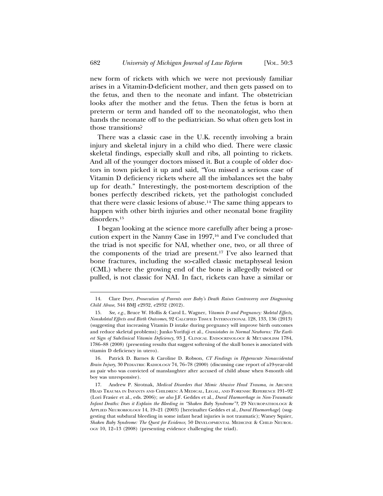new form of rickets with which we were not previously familiar arises in a Vitamin-D-deficient mother, and then gets passed on to the fetus, and then to the neonate and infant. The obstetrician looks after the mother and the fetus. Then the fetus is born at preterm or term and handed off to the neonatologist, who then hands the neonate off to the pediatrician. So what often gets lost in those transitions?

There was a classic case in the U.K. recently involving a brain injury and skeletal injury in a child who died. There were classic skeletal findings, especially skull and ribs, all pointing to rickets. And all of the younger doctors missed it. But a couple of older doctors in town picked it up and said, "You missed a serious case of Vitamin D deficiency rickets where all the imbalances set the baby up for death." Interestingly, the post-mortem description of the bones perfectly described rickets, yet the pathologist concluded that there were classic lesions of abuse.14 The same thing appears to happen with other birth injuries and other neonatal bone fragility disorders.15

I began looking at the science more carefully after being a prosecution expert in the Nanny Case in 1997,<sup>16</sup> and I've concluded that the triad is not specific for NAI, whether one, two, or all three of the components of the triad are present.17 I've also learned that bone fractures, including the so-called classic metaphyseal lesion (CML) where the growing end of the bone is allegedly twisted or pulled, is not classic for NAI. In fact, rickets can have a similar or

<sup>14.</sup> Clare Dyer, *Prosecution of Parents over Baby's Death Raises Controversy over Diagnosing Child Abuse*, 344 BMJ e2932, e2932 (2012).

<sup>15.</sup> *See, e.g.*, Bruce W. Hollis & Carol L. Wagner, *Vitamin D and Pregnancy: Skeletal Effects, Nonskeletal Effects and Birth Outcomes*, 92 CALCIFIED TISSUE INTERNATIONAL 128, 133, 136 (2013) (suggesting that increasing Vitamin D intake during pregnancy will improve birth outcomes and reduce skeletal problems); Junko Yorifuji et al., *Craniotabes in Normal Newborns: The Earliest Sign of Subclinical Vitamin Deficiency*, 93 J. CLINICAL ENDOCRINOLOGY & METABOLISM 1784, 1786–88 (2008) (presenting results that suggest softening of the skull bones is associated with vitamin D deficiency in utero).

<sup>16.</sup> Patrick D. Barnes & Caroline D. Robson, *CT Findings in Hyperacute Nonaccidental Brain Injury*, 30 PEDIATRIC RADIOLOGY 74, 76–78 (2000) (discussing case report of a19-year-old au pair who was convicted of manslaughter after accused of child abuse when 8-month old boy was unresponsive).

<sup>17.</sup> Andrew P. Sirotnak, *Medical Disorders that Mimic Abusive Head Trauma*, *in* ABUSIVE HEAD TRAUMA IN INFANTS AND CHILDREN: A MEDICAL, LEGAL, AND FORENSIC REFERENCE 191–92 (Lori Frasier et al., eds. 2006); *see also* J.F. Geddes et al., *Dural Haemorrhage in Non-Traumatic Infant Deaths: Does it Explain the Bleeding in "Shaken Baby Syndrome"?*, 29 NEUROPATHOLOGY & APPLIED NEUROBIOLOGY 14, 19–21 (2003) [hereinafter Geddes et al., *Dural Haemorrhage*] (suggesting that subdural bleeding in some infant head injuries is not traumatic); Waney Squier, *Shaken Baby Syndrome: The Quest for Evidence*, 50 DEVELOPMENTAL MEDICINE & CHILD NEUROL-OGY 10, 12–13 (2008) (presenting evidence challenging the triad).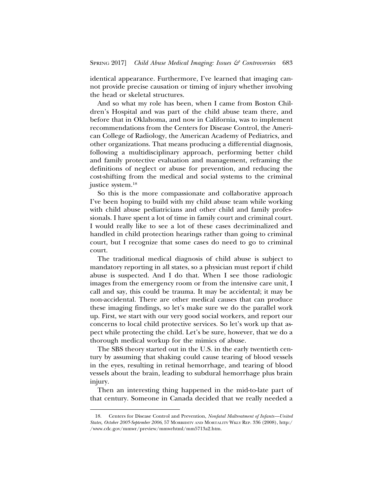identical appearance. Furthermore, I've learned that imaging cannot provide precise causation or timing of injury whether involving the head or skeletal structures.

And so what my role has been, when I came from Boston Children's Hospital and was part of the child abuse team there, and before that in Oklahoma, and now in California, was to implement recommendations from the Centers for Disease Control, the American College of Radiology, the American Academy of Pediatrics, and other organizations. That means producing a differential diagnosis, following a multidisciplinary approach, performing better child and family protective evaluation and management, reframing the definitions of neglect or abuse for prevention, and reducing the cost-shifting from the medical and social systems to the criminal justice system.18

So this is the more compassionate and collaborative approach I've been hoping to build with my child abuse team while working with child abuse pediatricians and other child and family professionals. I have spent a lot of time in family court and criminal court. I would really like to see a lot of these cases decriminalized and handled in child protection hearings rather than going to criminal court, but I recognize that some cases do need to go to criminal court.

The traditional medical diagnosis of child abuse is subject to mandatory reporting in all states, so a physician must report if child abuse is suspected. And I do that. When I see those radiologic images from the emergency room or from the intensive care unit, I call and say, this could be trauma. It may be accidental; it may be non-accidental. There are other medical causes that can produce these imaging findings, so let's make sure we do the parallel work up. First, we start with our very good social workers, and report our concerns to local child protective services. So let's work up that aspect while protecting the child. Let's be sure, however, that we do a thorough medical workup for the mimics of abuse.

The SBS theory started out in the U.S. in the early twentieth century by assuming that shaking could cause tearing of blood vessels in the eyes, resulting in retinal hemorrhage, and tearing of blood vessels about the brain, leading to subdural hemorrhage plus brain injury.

Then an interesting thing happened in the mid-to-late part of that century. Someone in Canada decided that we really needed a

<sup>18.</sup> Centers for Disease Control and Prevention, *Nonfatal Maltreatment of Infants—United States, October 2005-September 2006*, 57 MORBIDITY AND MORTALITY WKLY REP. 336 (2008), http:/ /www.cdc.gov/mmwr/preview/mmwrhtml/mm5713a2.htm.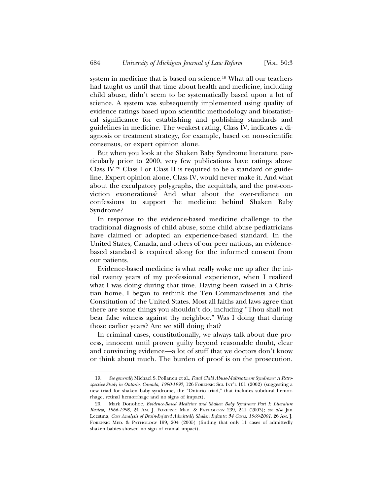system in medicine that is based on science.19 What all our teachers had taught us until that time about health and medicine, including child abuse, didn't seem to be systematically based upon a lot of science. A system was subsequently implemented using quality of evidence ratings based upon scientific methodology and biostatistical significance for establishing and publishing standards and guidelines in medicine. The weakest rating, Class IV, indicates a diagnosis or treatment strategy, for example, based on non-scientific consensus, or expert opinion alone.

But when you look at the Shaken Baby Syndrome literature, particularly prior to 2000, very few publications have ratings above Class IV.20 Class I or Class II is required to be a standard or guideline. Expert opinion alone, Class IV, would never make it. And what about the exculpatory polygraphs, the acquittals, and the post-conviction exonerations? And what about the over-reliance on confessions to support the medicine behind Shaken Baby Syndrome?

In response to the evidence-based medicine challenge to the traditional diagnosis of child abuse, some child abuse pediatricians have claimed or adopted an experience-based standard. In the United States, Canada, and others of our peer nations, an evidencebased standard is required along for the informed consent from our patients.

Evidence-based medicine is what really woke me up after the initial twenty years of my professional experience, when I realized what I was doing during that time. Having been raised in a Christian home, I began to rethink the Ten Commandments and the Constitution of the United States. Most all faiths and laws agree that there are some things you shouldn't do, including "Thou shall not bear false witness against thy neighbor." Was I doing that during those earlier years? Are we still doing that?

In criminal cases, constitutionally, we always talk about due process, innocent until proven guilty beyond reasonable doubt, clear and convincing evidence—a lot of stuff that we doctors don't know or think about much. The burden of proof is on the prosecution.

<sup>19.</sup> *See generally* Michael S. Pollanen et al., *Fatal Child Abuse-Maltreatment Syndrome: A Retrospective Study in Ontario, Canada, 1990-1995,* 126 FORENSIC SCI. INT'L 101 (2002) (suggesting a new triad for shaken baby syndrome, the "Ontario triad," that includes subdural hemorrhage, retinal hemorrhage and no signs of impact).

<sup>20.</sup> Mark Donohoe, *Evidence-Based Medicine and Shaken Baby Syndrome Part I: Literature Review, 1966-1998*, 24 AM. J. FORENSIC MED. & PATHOLOGY 239, 241 (2003); *see also* Jan Leestma, *Case Analysis of Brain-Injured Admittedly Shaken Infants: 54 Cases, 1969-2001*, 26 AM. J. FORENSIC MED. & PATHOLOGY 199, 204 (2005) (finding that only 11 cases of admittedly shaken babies showed no sign of cranial impact).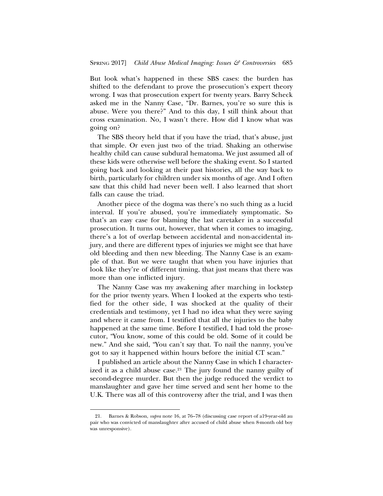But look what's happened in these SBS cases: the burden has shifted to the defendant to prove the prosecution's expert theory wrong. I was that prosecution expert for twenty years. Barry Scheck asked me in the Nanny Case, "Dr. Barnes, you're so sure this is abuse. Were you there?" And to this day, I still think about that cross examination. No, I wasn't there. How did I know what was going on?

The SBS theory held that if you have the triad, that's abuse, just that simple. Or even just two of the triad. Shaking an otherwise healthy child can cause subdural hematoma. We just assumed all of these kids were otherwise well before the shaking event. So I started going back and looking at their past histories, all the way back to birth, particularly for children under six months of age. And I often saw that this child had never been well. I also learned that short falls can cause the triad.

Another piece of the dogma was there's no such thing as a lucid interval. If you're abused, you're immediately symptomatic. So that's an easy case for blaming the last caretaker in a successful prosecution. It turns out, however, that when it comes to imaging, there's a lot of overlap between accidental and non-accidental injury, and there are different types of injuries we might see that have old bleeding and then new bleeding. The Nanny Case is an example of that. But we were taught that when you have injuries that look like they're of different timing, that just means that there was more than one inflicted injury.

The Nanny Case was my awakening after marching in lockstep for the prior twenty years. When I looked at the experts who testified for the other side, I was shocked at the quality of their credentials and testimony, yet I had no idea what they were saying and where it came from. I testified that all the injuries to the baby happened at the same time. Before I testified, I had told the prosecutor, "You know, some of this could be old. Some of it could be new." And she said, "You can't say that. To nail the nanny, you've got to say it happened within hours before the initial CT scan."

I published an article about the Nanny Case in which I characterized it as a child abuse case.<sup>21</sup> The jury found the nanny guilty of second-degree murder. But then the judge reduced the verdict to manslaughter and gave her time served and sent her home to the U.K. There was all of this controversy after the trial, and I was then

<sup>21.</sup> Barnes & Robson, *supra* note 16, at 76–78 (discussing case report of a19-year-old au pair who was convicted of manslaughter after accused of child abuse when 8-month old boy was unresponsive).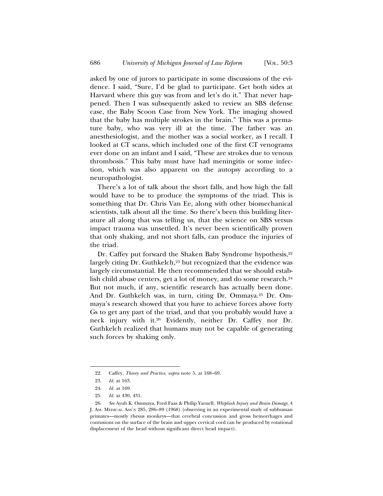asked by one of jurors to participate in some discussions of the evidence. I said, "Sure, I'd be glad to participate. Get both sides at Harvard where this guy was from and let's do it." That never happened. Then I was subsequently asked to review an SBS defense case, the Baby Scoon Case from New York. The imaging showed that the baby has multiple strokes in the brain." This was a premature baby, who was very ill at the time. The father was an anesthesiologist, and the mother was a social worker, as I recall. I looked at CT scans, which included one of the first CT venograms ever done on an infant and I said, "These are strokes due to venous thrombosis." This baby must have had meningitis or some infection, which was also apparent on the autopsy according to a neuropathologist.

There's a lot of talk about the short falls, and how high the fall would have to be to produce the symptoms of the triad. This is something that Dr. Chris Van Ee, along with other biomechanical scientists, talk about all the time. So there's been this building literature all along that was telling us, that the science on SBS versus impact trauma was unsettled. It's never been scientifically proven that only shaking, and not short falls, can produce the injuries of the triad.

Dr. Caffey put forward the Shaken Baby Syndrome hypothesis,<sup>22</sup> largely citing Dr. Guthkelch,<sup>23</sup> but recognized that the evidence was largely circumstantial. He then recommended that we should establish child abuse centers, get a lot of money, and do some research.<sup>24</sup> But not much, if any, scientific research has actually been done. And Dr. Guthkelch was, in turn, citing Dr. Ommaya.25 Dr. Ommaya's research showed that you have to achieve forces above forty Gs to get any part of the triad, and that you probably would have a neck injury with it.26 Evidently, neither Dr. Caffey nor Dr. Guthkelch realized that humans may not be capable of generating such forces by shaking only.

<sup>22.</sup> Caffey, *Theory and Practice*, *supra* note 5, at 168–69.

<sup>23.</sup> *Id*. at 163.

<sup>24.</sup> *Id.* at 169.

<sup>25.</sup> *Id*. at 430, 431.

<sup>26.</sup> *See* Ayub K. Ommaya, Fred Faas & Philip Yarnell, *Whiplash Injury and Brain Damage*, 4 J. AM. MEDICAL ASS'N 285, 286–89 (1968) (observing in an experimental study of subhuman primates—mostly rhesus monkeys—that cerebral concussion and gross hemorrhages and contusions on the surface of the brain and upper cervical cord can be produced by rotational displacement of the head without significant direct head impact).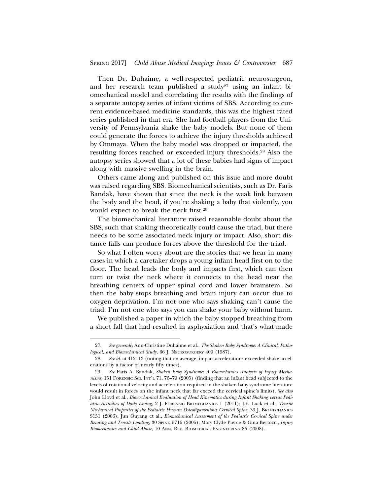Then Dr. Duhaime, a well-respected pediatric neurosurgeon, and her research team published a study<sup>27</sup> using an infant biomechanical model and correlating the results with the findings of a separate autopsy series of infant victims of SBS. According to current evidence-based medicine standards, this was the highest rated series published in that era. She had football players from the University of Pennsylvania shake the baby models. But none of them could generate the forces to achieve the injury thresholds achieved by Ommaya. When the baby model was dropped or impacted, the resulting forces reached or exceeded injury thresholds.28 Also the autopsy series showed that a lot of these babies had signs of impact along with massive swelling in the brain.

Others came along and published on this issue and more doubt was raised regarding SBS. Biomechanical scientists, such as Dr. Faris Bandak, have shown that since the neck is the weak link between the body and the head, if you're shaking a baby that violently, you would expect to break the neck first.29

The biomechanical literature raised reasonable doubt about the SBS, such that shaking theoretically could cause the triad, but there needs to be some associated neck injury or impact. Also, short distance falls can produce forces above the threshold for the triad.

So what I often worry about are the stories that we hear in many cases in which a caretaker drops a young infant head first on to the floor. The head leads the body and impacts first, which can then turn or twist the neck where it connects to the head near the breathing centers of upper spinal cord and lower brainstem. So then the baby stops breathing and brain injury can occur due to oxygen deprivation. I'm not one who says shaking can't cause the triad. I'm not one who says you can shake your baby without harm.

We published a paper in which the baby stopped breathing from a short fall that had resulted in asphyxiation and that's what made

<sup>27.</sup> *See generally* Ann-Christine Duhaime et al., *The Shaken Baby Syndrome: A Clinical, Pathological, and Biomechanical Study*, 66 J. NEUROSURGERY 409 (1987).

<sup>28.</sup> *See id.* at 412–13 (noting that on average, impact accelerations exceeded shake accelerations by a factor of nearly fifty times).

<sup>29.</sup> *See* Faris A. Bandak, *Shaken Baby Syndrome: A Biomechanics Analysis of Injury Mechanisms*, 151 FORENSIC SCI. INT'L 71, 76–79 (2005) (finding that an infant head subjected to the levels of rotational velocity and acceleration required in the shaken baby syndrome literature would result in forces on the infant neck that far exceed the cervical spine's limits). *See also* John Lloyd et al., *Biomechanical Evaluation of Head Kinematics during Infant Shaking versus Pediatric Activities of Daily Living*, 2 J. FORENSIC BIOMECHANICS 1 (2011); J.F. Luck et al., *Tensile Mechanical Properties of the Pediatric Human Osteoligamentous Cervical Spine*, 39 J. BIOMECHANICS S151 (2006); Jun Ouyang et al., *Biomechanical Assessment of the Pediatric Cervical Spine under Bending and Tensile Loading*, 30 SPINE E716 (2005); Mary Clyde Pierce & Gina Bertocci, *Injury Biomechanics and Child Abuse*, 10 ANN. REV. BIOMEDICAL ENGINEERING 85 (2008).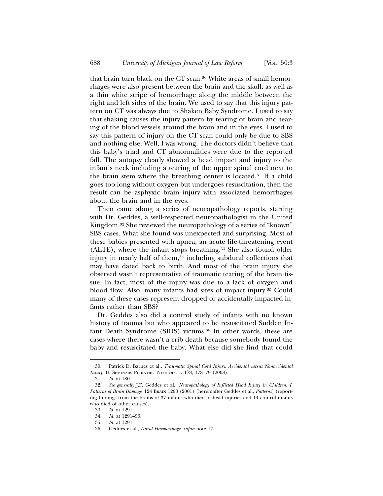that brain turn black on the CT scan.30 White areas of small hemorrhages were also present between the brain and the skull, as well as a thin white stripe of hemorrhage along the middle between the right and left sides of the brain. We used to say that this injury pattern on CT was always due to Shaken Baby Syndrome. I used to say that shaking causes the injury pattern by tearing of brain and tearing of the blood vessels around the brain and in the eyes. I used to say this pattern of injury on the CT scan could only be due to SBS and nothing else. Well, I was wrong. The doctors didn't believe that this baby's triad and CT abnormalities were due to the reported fall. The autopsy clearly showed a head impact and injury to the infant's neck including a tearing of the upper spinal cord next to the brain stem where the breathing center is located.31 If a child goes too long without oxygen but undergoes resuscitation, then the result can be asphyxic brain injury with associated hemorrhages about the brain and in the eyes.

Then came along a series of neuropathology reports, starting with Dr. Geddes, a well-respected neuropathologist in the United Kingdom.32 She reviewed the neuropathology of a series of "known" SBS cases. What she found was unexpected and surprising. Most of these babies presented with apnea, an acute life-threatening event (ALTE), where the infant stops breathing.33 She also found older injury in nearly half of them,<sup>34</sup> including subdural collections that may have dated back to birth. And most of the brain injury she observed wasn't representative of traumatic tearing of the brain tissue. In fact, most of the injury was due to a lack of oxygen and blood flow. Also, many infants had sites of impact injury.35 Could many of these cases represent dropped or accidentally impacted infants rather than SBS?

Dr. Geddes also did a control study of infants with no known history of trauma but who appeared to be resuscitated Sudden Infant Death Syndrome (SIDS) victims.<sup>36</sup> In other words, these are cases where there wasn't a crib death because somebody found the baby and resuscitated the baby. What else did she find that could

<sup>30.</sup> Patrick D. Barnes et al., *Traumatic Spinal Cord Injury: Accidental versus Nonaccidental Injury*, 15 SEMINARS PEDIATRIC NEUROLOGY 178, 178–79 (2008).

<sup>31.</sup> *Id.* at 180.

<sup>32.</sup> *See generally* J.F. Geddes et al., *Neuropathology of Inflicted Head Injury in Children: I. Patterns of Brain Damage*, 124 BRAIN 1290 (2001) [hereinafter Geddes et al., *Patterns*] (reporting findings from the brains of 37 infants who died of head injuries and 14 control infants who died of other causes).

<sup>33.</sup> *Id.* at 1291.

<sup>34.</sup> *Id.* at 1291–93.

<sup>35.</sup> *Id.* at 1291.

<sup>36.</sup> Geddes et al., *Dural Haemorrhage*, *supra* note 17.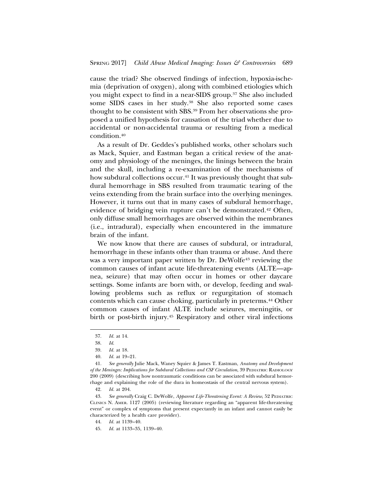cause the triad? She observed findings of infection, hypoxia-ischemia (deprivation of oxygen), along with combined etiologies which you might expect to find in a near-SIDS group.37 She also included some SIDS cases in her study.<sup>38</sup> She also reported some cases thought to be consistent with SBS.39 From her observations she proposed a unified hypothesis for causation of the triad whether due to accidental or non-accidental trauma or resulting from a medical condition.40

As a result of Dr. Geddes's published works, other scholars such as Mack, Squier, and Eastman began a critical review of the anatomy and physiology of the meninges, the linings between the brain and the skull, including a re-examination of the mechanisms of how subdural collections occur.<sup>41</sup> It was previously thought that subdural hemorrhage in SBS resulted from traumatic tearing of the veins extending from the brain surface into the overlying meninges. However, it turns out that in many cases of subdural hemorrhage, evidence of bridging vein rupture can't be demonstrated.42 Often, only diffuse small hemorrhages are observed within the membranes (i.e., intradural), especially when encountered in the immature brain of the infant.

We now know that there are causes of subdural, or intradural, hemorrhage in these infants other than trauma or abuse. And there was a very important paper written by Dr. DeWolfe<sup>43</sup> reviewing the common causes of infant acute life-threatening events (ALTE—apnea, seizure) that may often occur in homes or other daycare settings. Some infants are born with, or develop, feeding and swallowing problems such as reflux or regurgitation of stomach contents which can cause choking, particularly in preterms.44 Other common causes of infant ALTE include seizures, meningitis, or birth or post-birth injury.45 Respiratory and other viral infections

<sup>37.</sup> *Id.* at 14.

<sup>38.</sup> *Id*.

<sup>39.</sup> *Id.* at 18.

<sup>40.</sup> *Id.* at 19–21.

<sup>41.</sup> *See generally* Julie Mack, Waney Squier & James T. Eastman, *Anatomy and Development of the Meninges: Implications for Subdural Collections and CSF Circulation*, 39 PEDIATRIC RADIOLOGY 200 (2009) (describing how nontraumatic conditions can be associated with subdural hemorrhage and explaining the role of the dura in homeostasis of the central nervous system).

<sup>42.</sup> *Id.* at 204.

<sup>43.</sup> *See generally* Craig C. DeWolfe, *Apparent Life-Threatening Event: A Review*, 52 PEDIATRIC CLINICS N. AMER. 1127 (2005) (reviewing literature regarding an "apparent life-threatening event" or complex of symptoms that present expectantly in an infant and cannot easily be characterized by a health care provider).

<sup>44.</sup> *Id.* at 1139–40.

<sup>45.</sup> *Id.* at 1133–35, 1139–40.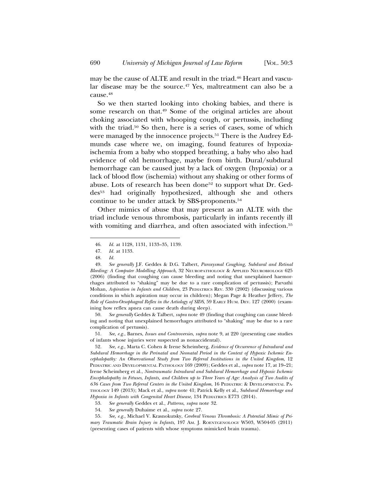may be the cause of ALTE and result in the triad.<sup>46</sup> Heart and vascular disease may be the source.47 Yes, maltreatment can also be a cause.48

So we then started looking into choking babies, and there is some research on that.49 Some of the original articles are about choking associated with whooping cough, or pertussis, including with the triad.<sup>50</sup> So then, here is a series of cases, some of which were managed by the innocence projects.<sup>51</sup> There is the Audrey Edmunds case where we, on imaging, found features of hypoxiaischemia from a baby who stopped breathing, a baby who also had evidence of old hemorrhage, maybe from birth. Dural/subdural hemorrhage can be caused just by a lack of oxygen (hypoxia) or a lack of blood flow (ischemia) without any shaking or other forms of abuse. Lots of research has been done<sup>52</sup> to support what Dr. Geddes53 had originally hypothesized, although she and others continue to be under attack by SBS-proponents.54

Other mimics of abuse that may present as an ALTE with the triad include venous thrombosis, particularly in infants recently ill with vomiting and diarrhea, and often associated with infection.<sup>55</sup>

50. *See generally* Geddes & Talbert, *supra* note 49 (finding that coughing can cause bleeding and noting that unexplained hemorrhages attributed to "shaking" may be due to a rare complication of pertussis).

51. *See, e.g.*, Barnes, *Issues and Controversies*, *supra* note 9, at 220 (presenting case studies of infants whose injuries were suspected as nonaccidental).

52. *See, e.g.*, Marta C. Cohen & Irene Scheimberg, *Evidence of Occurrence of Intradural and Subdural Hemorrhage in the Perinatal and Neonatal Period in the Context of Hypoxic Ischemic Encephalopathy: An Observational Study from Two Referral Institutions in the United Kingdom*, 12 PEDIATRIC AND DEVELOPMENTAL PATHOLOGY 169 (2009); Geddes et al., *supra* note 17, at 19–21; Irene Scheimberg et al., *Nontraumatic Intradural and Subdural Hemorrhage and Hypoxic Ischemic Encephalopathy in Fetuses, Infants, and Children up to Three Years of Age: Analysis of Two Audits of 636 Cases from Two Referral Centers in the United Kingdom*, 16 PEDIATRIC & DEVELOPMENTAL PA-THOLOGY 149 (2013); Mack et al., *supra* note 41; Patrick Kelly et al., *Subdural Hemorrhage and Hypoxia in Infants with Congenital Heart Disease*, 134 PEDIATRICS E773 (2014).

55. *See, e.g.*, Michael V. Krasnokutsky, *Cerebral Venous Thrombosis: A Potential Mimic of Primary Traumatic Brain Injury in Infants*, 197 AM. J. ROENTGENOLOGY W503, W504-05 (2011) (presenting cases of patients with whose symptoms mimicked brain trauma).

<sup>46.</sup> *Id.* at 1128, 1131, 1133–35, 1139.

<sup>47.</sup> *Id.* at 1133.

<sup>48.</sup> *Id.*

<sup>49.</sup> *See generally* J.F. Geddes & D.G. Talbert, *Paroxysmal Coughing, Subdural and Retinal Bleeding: A Computer Modelling Approach*, 32 NEUROPATHOLOGY & APPLIED NEUROBIOLOGY 625 (2006) (finding that coughing can cause bleeding and noting that unexplained haemorrhages attributed to "shaking" may be due to a rare complication of pertussis); Parvathi Mohan, *Aspiration in Infants and Children*, 23 PEDIATRICS REV. 330 (2002) (discussing various conditions in which aspiration may occur in children); Megan Page & Heather Jeffery, *The Role of Gastro-Oesophageal Reflex in the Aetiology of SIDS*, 59 EARLY HUM. DEV. 127 (2000) (examining how reflex apnea can cause death during sleep).

<sup>53.</sup> *See generally* Geddes et al., *Patterns*, *supra* note 32.

<sup>54.</sup> *See generally* Duhaime et al., *supra* note 27.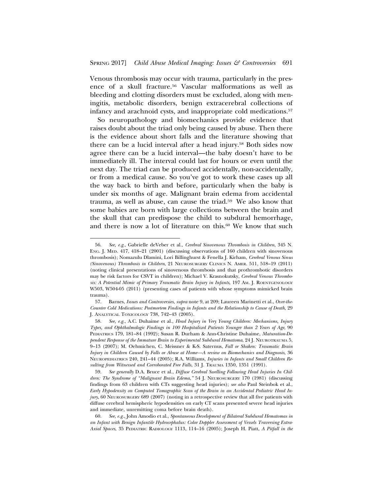Venous thrombosis may occur with trauma, particularly in the presence of a skull fracture.56 Vascular malformations as well as bleeding and clotting disorders must be excluded, along with meningitis, metabolic disorders, benign extracerebral collections of infancy and arachnoid cysts, and inappropriate cold medications.57

So neuropathology and biomechanics provide evidence that raises doubt about the triad only being caused by abuse. Then there is the evidence about short falls and the literature showing that there can be a lucid interval after a head injury.58 Both sides now agree there can be a lucid interval—the baby doesn't have to be immediately ill. The interval could last for hours or even until the next day. The triad can be produced accidentally, non-accidentally, or from a medical cause. So you've got to work these cases up all the way back to birth and before, particularly when the baby is under six months of age. Malignant brain edema from accidental trauma, as well as abuse, can cause the triad.59 We also know that some babies are born with large collections between the brain and the skull that can predispose the child to subdural hemorrhage, and there is now a lot of literature on this.60 We know that such

<sup>56.</sup> *See, e.g.*, Gabrielle deVeber et al., *Cerebral Sinovenous Thrombosis in Children*, 345 N. ENG. J. MED. 417, 418–21 (2001) (discussing observations of 160 children with sinovenous thrombosis); Nomazulu Dlamini, Lori Billinghurst & Fenella J. Kirham, *Cerebral Venous Sinus (Sinovenous) Thrombosis in Children*, 21 NEUROSURGERY CLINICS N. AMER. 511, 518–19 (2011) (noting clinical presentations of sinovenous thrombosis and that prothrombotic disorders may be risk factors for CSVT in children); Michael V. Krasnokutsky, *Cerebral Venous Thrombosis: A Potential Mimic of Primary Traumatic Brain Injury in Infants*, 197 AM. J. ROENTGENOLOGY W503, W504-05 (2011) (presenting cases of patients with whose symptoms mimicked brain trauma).

<sup>57.</sup> Barnes, *Issues and Controversies*, *supra* note 9, at 209; Laureen Marinetti et al., *Over-the-Counter Cold Medications: Postmortem Findings in Infants and the Relationship to Cause of Death*, 29 J. ANALYTICAL TOXICOLOGY 738, 742–43 (2005).

<sup>58.</sup> *See, e.g.*, A.C. Duhaime et al., *Head Injury in Very Young Children: Mechanisms, Injury Types, and Ophthalmologic Findings in 100 Hospitalized Patients Younger than 2 Years of Age*, 90 PEDIATRICS 179, 181–84 (1992); Susan R. Durham & Ann-Christine Duhaime, *Maturation-Dependent Response of the Immature Brain to Experimental Subdural Hematoma*, 24 J. NEUROTRAUMA 5, 9–13 (2007); M. Oehmichen, C. Meissner & K-S. Saternus, *Fall or Shaken: Traumatic Brain Injury in Children Caused by Falls or Abuse at Home—A review on Biomechanics and Diagnosis*, 36 NEUROPEDIATRICS 240, 241–44 (2005); R.A. Williams, *Injuries in Infants and Small Children Resulting from Witnessed and Corroborated Free Falls*, 31 J. TRAUMA 1350, 1351 (1991).

<sup>59.</sup> *See generally* D.A. Bruce et al., *Diffuse Cerebral Swelling Following Head Injuries In Children: The Syndrome of "Malignant Brain Edema*,*"* 54 J. NEUROSURGERY 170 (1981) (discussing findings from 63 children with CTs suggesting head injuries); *see also* Paul Steinbok et al., *Early Hypodensity on Computed Tomographic Scan of the Brain in an Accidental Pediatric Head Injury*, 60 NEUROSURGERY 689 (2007) (noting in a retrospective review that all five patients with diffuse cerebral hemispheric hypodensities on early CT scans presented severe head injuries and immediate, unremitting coma before brain death).

<sup>60.</sup> *See, e.g.*, John Amodio et al., *Spontaneous Development of Bilateral Subdural Hematomas in an Infant with Benign Infantile Hydrocephalus: Color Doppler Assessment of Vessels Traversing Extra-Axial Spaces*, 35 PEDIATRIC RADIOLOGY 1113, 114–16 (2005); Joseph H. Piatt, *A Pitfall in the*